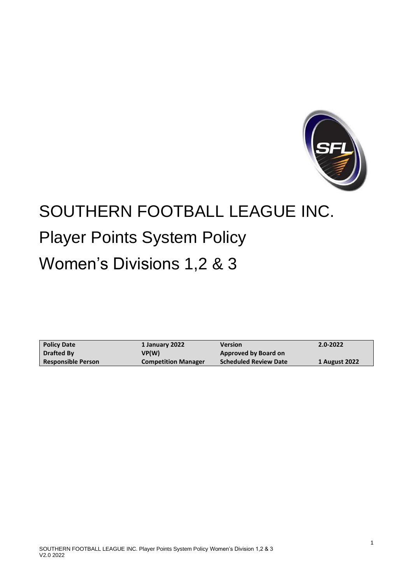

# SOUTHERN FOOTBALL LEAGUE INC. Player Points System Policy Women's Divisions 1,2 & 3

**Policy Date Drafted By Responsible Person 1 January 2022 VP(W) Competition Manager Version Approved by Board on Scheduled Review Date 2.0-2022 1 August 2022**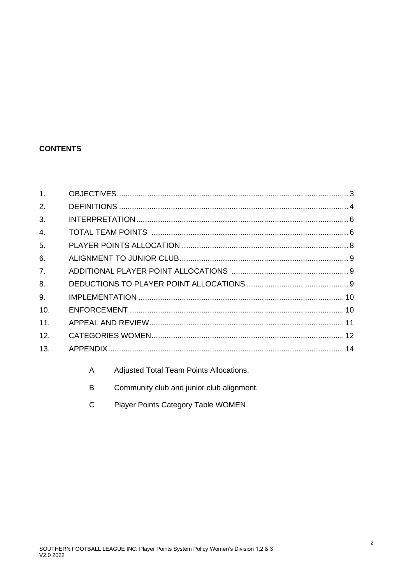## **CONTENTS**

| 1 <sub>1</sub> |  |
|----------------|--|
| 2.             |  |
| 3.             |  |
| 4.             |  |
| 5.             |  |
| 6.             |  |
| 7 <sub>1</sub> |  |
| 8.             |  |
| 9.             |  |
| 10.            |  |
| 11.            |  |
| 12.            |  |
| 13.            |  |
|                |  |

- $\overline{A}$ Adjusted Total Team Points Allocations.
- Community club and junior club alignment.  $\sf B$
- Player Points Category Table WOMEN  ${\bf C}$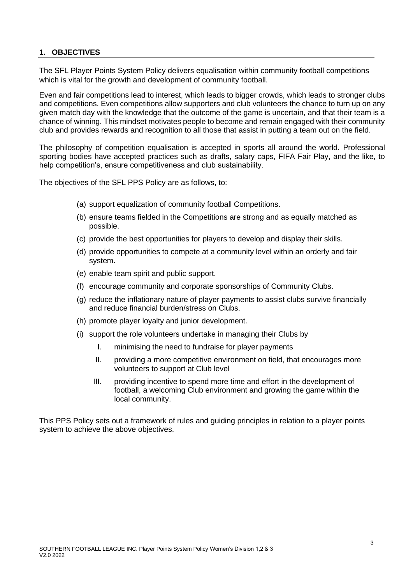## **1. OBJECTIVES**

The SFL Player Points System Policy delivers equalisation within community football competitions which is vital for the growth and development of community football.

Even and fair competitions lead to interest, which leads to bigger crowds, which leads to stronger clubs and competitions. Even competitions allow supporters and club volunteers the chance to turn up on any given match day with the knowledge that the outcome of the game is uncertain, and that their team is a chance of winning. This mindset motivates people to become and remain engaged with their community club and provides rewards and recognition to all those that assist in putting a team out on the field.

The philosophy of competition equalisation is accepted in sports all around the world. Professional sporting bodies have accepted practices such as drafts, salary caps, FIFA Fair Play, and the like, to help competition's, ensure competitiveness and club sustainability.

The objectives of the SFL PPS Policy are as follows, to:

- (a) support equalization of community football Competitions.
- (b) ensure teams fielded in the Competitions are strong and as equally matched as possible.
- (c) provide the best opportunities for players to develop and display their skills.
- (d) provide opportunities to compete at a community level within an orderly and fair system.
- (e) enable team spirit and public support.
- (f) encourage community and corporate sponsorships of Community Clubs.
- (g) reduce the inflationary nature of player payments to assist clubs survive financially and reduce financial burden/stress on Clubs.
- (h) promote player loyalty and junior development.
- (i) support the role volunteers undertake in managing their Clubs by
	- I. minimising the need to fundraise for player payments
	- II. providing a more competitive environment on field, that encourages more volunteers to support at Club level
	- III. providing incentive to spend more time and effort in the development of football, a welcoming Club environment and growing the game within the local community.

This PPS Policy sets out a framework of rules and guiding principles in relation to a player points system to achieve the above objectives.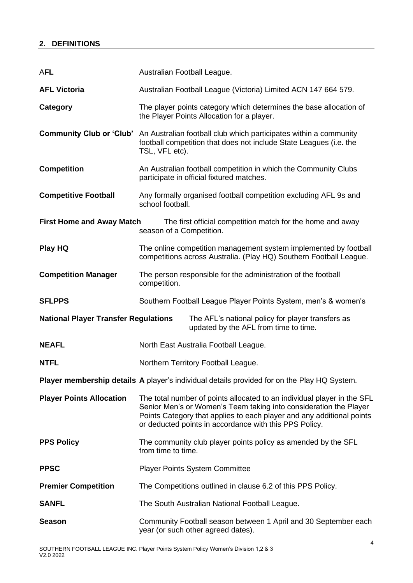| <b>AFL</b>                                  | Australian Football League.                                                                                                                                                                                                                                                     |  |  |
|---------------------------------------------|---------------------------------------------------------------------------------------------------------------------------------------------------------------------------------------------------------------------------------------------------------------------------------|--|--|
| <b>AFL Victoria</b>                         | Australian Football League (Victoria) Limited ACN 147 664 579.                                                                                                                                                                                                                  |  |  |
| Category                                    | The player points category which determines the base allocation of<br>the Player Points Allocation for a player.                                                                                                                                                                |  |  |
| <b>Community Club or 'Club'</b>             | An Australian football club which participates within a community<br>football competition that does not include State Leagues (i.e. the<br>TSL, VFL etc).                                                                                                                       |  |  |
| <b>Competition</b>                          | An Australian football competition in which the Community Clubs<br>participate in official fixtured matches.                                                                                                                                                                    |  |  |
| <b>Competitive Football</b>                 | Any formally organised football competition excluding AFL 9s and<br>school football.                                                                                                                                                                                            |  |  |
| <b>First Home and Away Match</b>            | The first official competition match for the home and away<br>season of a Competition.                                                                                                                                                                                          |  |  |
| Play HQ                                     | The online competition management system implemented by football<br>competitions across Australia. (Play HQ) Southern Football League.                                                                                                                                          |  |  |
| <b>Competition Manager</b>                  | The person responsible for the administration of the football<br>competition.                                                                                                                                                                                                   |  |  |
| <b>SFLPPS</b>                               | Southern Football League Player Points System, men's & women's                                                                                                                                                                                                                  |  |  |
| <b>National Player Transfer Regulations</b> | The AFL's national policy for player transfers as<br>updated by the AFL from time to time.                                                                                                                                                                                      |  |  |
| <b>NEAFL</b>                                | North East Australia Football League.                                                                                                                                                                                                                                           |  |  |
| <b>NTFL</b>                                 | Northern Territory Football League.                                                                                                                                                                                                                                             |  |  |
|                                             | <b>Player membership details A</b> player's individual details provided for on the Play HQ System.                                                                                                                                                                              |  |  |
| <b>Player Points Allocation</b>             | The total number of points allocated to an individual player in the SFL<br>Senior Men's or Women's Team taking into consideration the Player<br>Points Category that applies to each player and any additional points<br>or deducted points in accordance with this PPS Policy. |  |  |
| <b>PPS Policy</b>                           | The community club player points policy as amended by the SFL<br>from time to time.                                                                                                                                                                                             |  |  |
| <b>PPSC</b>                                 | <b>Player Points System Committee</b>                                                                                                                                                                                                                                           |  |  |
| <b>Premier Competition</b>                  | The Competitions outlined in clause 6.2 of this PPS Policy.                                                                                                                                                                                                                     |  |  |
| <b>SANFL</b>                                | The South Australian National Football League.                                                                                                                                                                                                                                  |  |  |
| <b>Season</b>                               | Community Football season between 1 April and 30 September each<br>year (or such other agreed dates).                                                                                                                                                                           |  |  |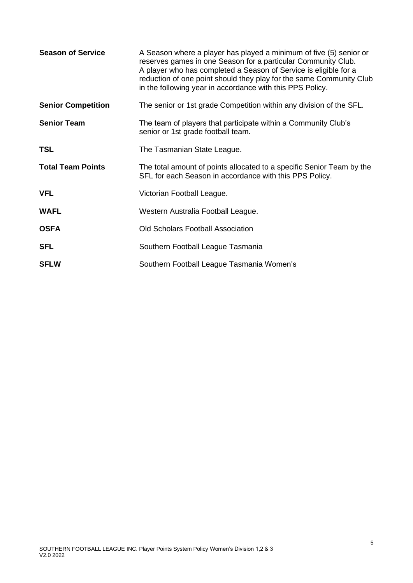| <b>Season of Service</b>  | A Season where a player has played a minimum of five (5) senior or<br>reserves games in one Season for a particular Community Club.<br>A player who has completed a Season of Service is eligible for a<br>reduction of one point should they play for the same Community Club<br>in the following year in accordance with this PPS Policy. |
|---------------------------|---------------------------------------------------------------------------------------------------------------------------------------------------------------------------------------------------------------------------------------------------------------------------------------------------------------------------------------------|
| <b>Senior Competition</b> | The senior or 1st grade Competition within any division of the SFL.                                                                                                                                                                                                                                                                         |
| <b>Senior Team</b>        | The team of players that participate within a Community Club's<br>senior or 1st grade football team.                                                                                                                                                                                                                                        |
| <b>TSL</b>                | The Tasmanian State League.                                                                                                                                                                                                                                                                                                                 |
| <b>Total Team Points</b>  | The total amount of points allocated to a specific Senior Team by the<br>SFL for each Season in accordance with this PPS Policy.                                                                                                                                                                                                            |
| <b>VFL</b>                | Victorian Football League.                                                                                                                                                                                                                                                                                                                  |
| <b>WAFL</b>               | Western Australia Football League.                                                                                                                                                                                                                                                                                                          |
| <b>OSFA</b>               | <b>Old Scholars Football Association</b>                                                                                                                                                                                                                                                                                                    |
| <b>SFL</b>                | Southern Football League Tasmania                                                                                                                                                                                                                                                                                                           |
| <b>SFLW</b>               | Southern Football League Tasmania Women's                                                                                                                                                                                                                                                                                                   |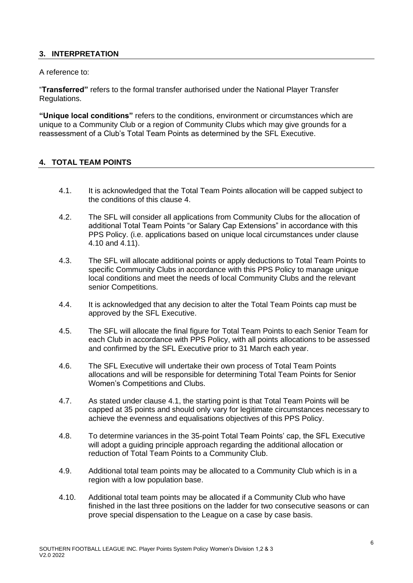## **3. INTERPRETATION**

A reference to:

"**Transferred"** refers to the formal transfer authorised under the National Player Transfer Regulations.

**"Unique local conditions"** refers to the conditions, environment or circumstances which are unique to a Community Club or a region of Community Clubs which may give grounds for a reassessment of a Club's Total Team Points as determined by the SFL Executive.

#### **4. TOTAL TEAM POINTS**

- 4.1. It is acknowledged that the Total Team Points allocation will be capped subject to the conditions of this clause 4.
- 4.2. The SFL will consider all applications from Community Clubs for the allocation of additional Total Team Points "or Salary Cap Extensions" in accordance with this PPS Policy. (i.e. applications based on unique local circumstances under clause 4.10 and 4.11).
- 4.3. The SFL will allocate additional points or apply deductions to Total Team Points to specific Community Clubs in accordance with this PPS Policy to manage unique local conditions and meet the needs of local Community Clubs and the relevant senior Competitions.
- 4.4. It is acknowledged that any decision to alter the Total Team Points cap must be approved by the SFL Executive.
- 4.5. The SFL will allocate the final figure for Total Team Points to each Senior Team for each Club in accordance with PPS Policy, with all points allocations to be assessed and confirmed by the SFL Executive prior to 31 March each year.
- 4.6. The SFL Executive will undertake their own process of Total Team Points allocations and will be responsible for determining Total Team Points for Senior Women's Competitions and Clubs.
- 4.7. As stated under clause 4.1, the starting point is that Total Team Points will be capped at 35 points and should only vary for legitimate circumstances necessary to achieve the evenness and equalisations objectives of this PPS Policy.
- 4.8. To determine variances in the 35-point Total Team Points' cap, the SFL Executive will adopt a guiding principle approach regarding the additional allocation or reduction of Total Team Points to a Community Club.
- 4.9. Additional total team points may be allocated to a Community Club which is in a region with a low population base.
- 4.10. Additional total team points may be allocated if a Community Club who have finished in the last three positions on the ladder for two consecutive seasons or can prove special dispensation to the League on a case by case basis.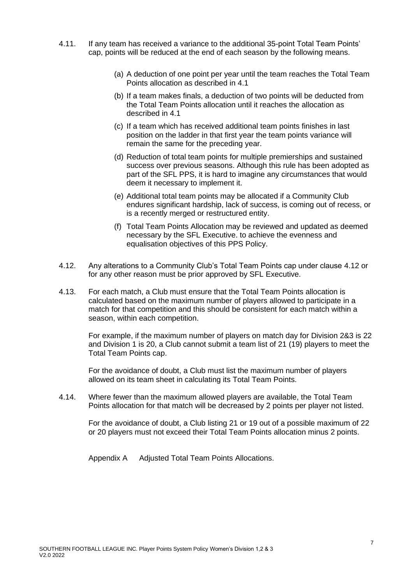- 4.11. If any team has received a variance to the additional 35-point Total Team Points' cap, points will be reduced at the end of each season by the following means.
	- (a) A deduction of one point per year until the team reaches the Total Team Points allocation as described in 4.1
	- (b) If a team makes finals, a deduction of two points will be deducted from the Total Team Points allocation until it reaches the allocation as described in 4.1
	- (c) If a team which has received additional team points finishes in last position on the ladder in that first year the team points variance will remain the same for the preceding year.
	- (d) Reduction of total team points for multiple premierships and sustained success over previous seasons. Although this rule has been adopted as part of the SFL PPS, it is hard to imagine any circumstances that would deem it necessary to implement it.
	- (e) Additional total team points may be allocated if a Community Club endures significant hardship, lack of success, is coming out of recess, or is a recently merged or restructured entity.
	- (f) Total Team Points Allocation may be reviewed and updated as deemed necessary by the SFL Executive. to achieve the evenness and equalisation objectives of this PPS Policy.
- 4.12. Any alterations to a Community Club's Total Team Points cap under clause 4.12 or for any other reason must be prior approved by SFL Executive.
- 4.13. For each match, a Club must ensure that the Total Team Points allocation is calculated based on the maximum number of players allowed to participate in a match for that competition and this should be consistent for each match within a season, within each competition.

For example, if the maximum number of players on match day for Division 2&3 is 22 and Division 1 is 20, a Club cannot submit a team list of 21 (19) players to meet the Total Team Points cap.

For the avoidance of doubt, a Club must list the maximum number of players allowed on its team sheet in calculating its Total Team Points.

4.14. Where fewer than the maximum allowed players are available, the Total Team Points allocation for that match will be decreased by 2 points per player not listed.

For the avoidance of doubt, a Club listing 21 or 19 out of a possible maximum of 22 or 20 players must not exceed their Total Team Points allocation minus 2 points.

Appendix A Adjusted Total Team Points Allocations.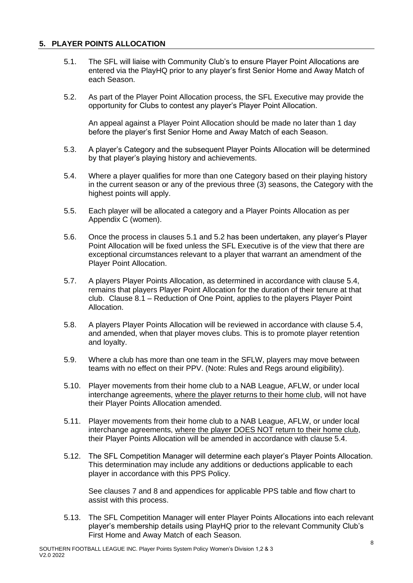### **5. PLAYER POINTS ALLOCATION**

- 5.1. The SFL will liaise with Community Club's to ensure Player Point Allocations are entered via the PlayHQ prior to any player's first Senior Home and Away Match of each Season.
- 5.2. As part of the Player Point Allocation process, the SFL Executive may provide the opportunity for Clubs to contest any player's Player Point Allocation.

An appeal against a Player Point Allocation should be made no later than 1 day before the player's first Senior Home and Away Match of each Season.

- 5.3. A player's Category and the subsequent Player Points Allocation will be determined by that player's playing history and achievements.
- 5.4. Where a player qualifies for more than one Category based on their playing history in the current season or any of the previous three (3) seasons, the Category with the highest points will apply.
- 5.5. Each player will be allocated a category and a Player Points Allocation as per Appendix C (women).
- 5.6. Once the process in clauses 5.1 and 5.2 has been undertaken, any player's Player Point Allocation will be fixed unless the SFL Executive is of the view that there are exceptional circumstances relevant to a player that warrant an amendment of the Player Point Allocation.
- 5.7. A players Player Points Allocation, as determined in accordance with clause 5.4, remains that players Player Point Allocation for the duration of their tenure at that club. Clause 8.1 – Reduction of One Point, applies to the players Player Point Allocation.
- 5.8. A players Player Points Allocation will be reviewed in accordance with clause 5.4, and amended, when that player moves clubs. This is to promote player retention and loyalty.
- 5.9. Where a club has more than one team in the SFLW, players may move between teams with no effect on their PPV. (Note: Rules and Regs around eligibility).
- 5.10. Player movements from their home club to a NAB League, AFLW, or under local interchange agreements, where the player returns to their home club, will not have their Player Points Allocation amended.
- 5.11. Player movements from their home club to a NAB League, AFLW, or under local interchange agreements, where the player DOES NOT return to their home club, their Player Points Allocation will be amended in accordance with clause 5.4.
- 5.12. The SFL Competition Manager will determine each player's Player Points Allocation. This determination may include any additions or deductions applicable to each player in accordance with this PPS Policy.

See clauses 7 and 8 and appendices for applicable PPS table and flow chart to assist with this process.

5.13. The SFL Competition Manager will enter Player Points Allocations into each relevant player's membership details using PlayHQ prior to the relevant Community Club's First Home and Away Match of each Season.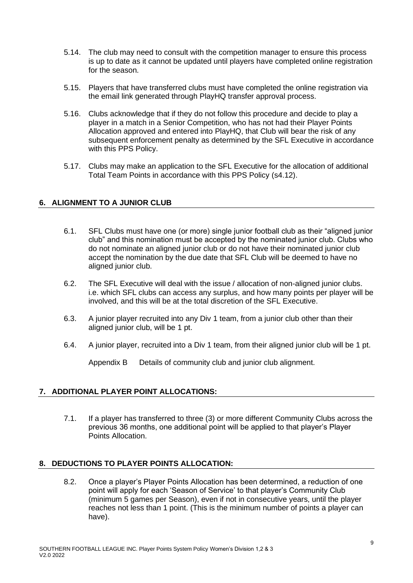- 5.14. The club may need to consult with the competition manager to ensure this process is up to date as it cannot be updated until players have completed online registration for the season.
- 5.15. Players that have transferred clubs must have completed the online registration via the email link generated through PlayHQ transfer approval process.
- 5.16. Clubs acknowledge that if they do not follow this procedure and decide to play a player in a match in a Senior Competition, who has not had their Player Points Allocation approved and entered into PlayHQ, that Club will bear the risk of any subsequent enforcement penalty as determined by the SFL Executive in accordance with this PPS Policy.
- 5.17. Clubs may make an application to the SFL Executive for the allocation of additional Total Team Points in accordance with this PPS Policy (s4.12).

### **6. ALIGNMENT TO A JUNIOR CLUB**

- 6.1. SFL Clubs must have one (or more) single junior football club as their "aligned junior club" and this nomination must be accepted by the nominated junior club. Clubs who do not nominate an aligned junior club or do not have their nominated junior club accept the nomination by the due date that SFL Club will be deemed to have no aligned junior club.
- 6.2. The SFL Executive will deal with the issue / allocation of non-aligned junior clubs. i.e. which SFL clubs can access any surplus, and how many points per player will be involved, and this will be at the total discretion of the SFL Executive.
- 6.3. A junior player recruited into any Div 1 team, from a junior club other than their aligned junior club, will be 1 pt.
- 6.4. A junior player, recruited into a Div 1 team, from their aligned junior club will be 1 pt.

Appendix B Details of community club and junior club alignment.

#### **7. ADDITIONAL PLAYER POINT ALLOCATIONS:**

7.1. If a player has transferred to three (3) or more different Community Clubs across the previous 36 months, one additional point will be applied to that player's Player Points Allocation.

#### **8. DEDUCTIONS TO PLAYER POINTS ALLOCATION:**

8.2. Once a player's Player Points Allocation has been determined, a reduction of one point will apply for each 'Season of Service' to that player's Community Club (minimum 5 games per Season), even if not in consecutive years, until the player reaches not less than 1 point. (This is the minimum number of points a player can have).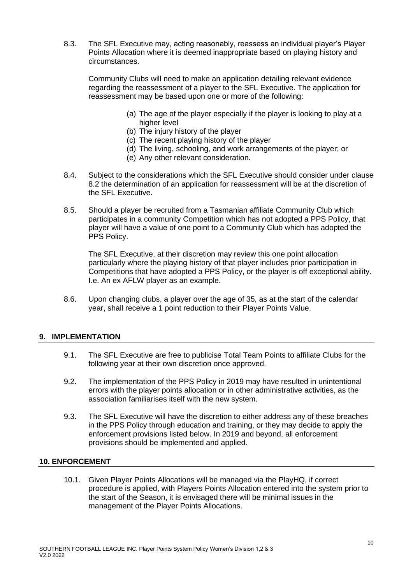8.3. The SFL Executive may, acting reasonably, reassess an individual player's Player Points Allocation where it is deemed inappropriate based on playing history and circumstances.

Community Clubs will need to make an application detailing relevant evidence regarding the reassessment of a player to the SFL Executive. The application for reassessment may be based upon one or more of the following:

- (a) The age of the player especially if the player is looking to play at a higher level
- (b) The injury history of the player
- (c) The recent playing history of the player
- (d) The living, schooling, and work arrangements of the player; or
- (e) Any other relevant consideration.
- 8.4. Subject to the considerations which the SFL Executive should consider under clause 8.2 the determination of an application for reassessment will be at the discretion of the SFL Executive.
- 8.5. Should a player be recruited from a Tasmanian affiliate Community Club which participates in a community Competition which has not adopted a PPS Policy, that player will have a value of one point to a Community Club which has adopted the PPS Policy.

The SFL Executive, at their discretion may review this one point allocation particularly where the playing history of that player includes prior participation in Competitions that have adopted a PPS Policy, or the player is off exceptional ability. I.e. An ex AFLW player as an example.

8.6. Upon changing clubs, a player over the age of 35, as at the start of the calendar year, shall receive a 1 point reduction to their Player Points Value.

#### **9. IMPLEMENTATION**

- 9.1. The SFL Executive are free to publicise Total Team Points to affiliate Clubs for the following year at their own discretion once approved.
- 9.2. The implementation of the PPS Policy in 2019 may have resulted in unintentional errors with the player points allocation or in other administrative activities, as the association familiarises itself with the new system.
- 9.3. The SFL Executive will have the discretion to either address any of these breaches in the PPS Policy through education and training, or they may decide to apply the enforcement provisions listed below. In 2019 and beyond, all enforcement provisions should be implemented and applied.

#### **10. ENFORCEMENT**

10.1. Given Player Points Allocations will be managed via the PlayHQ, if correct procedure is applied, with Players Points Allocation entered into the system prior to the start of the Season, it is envisaged there will be minimal issues in the management of the Player Points Allocations.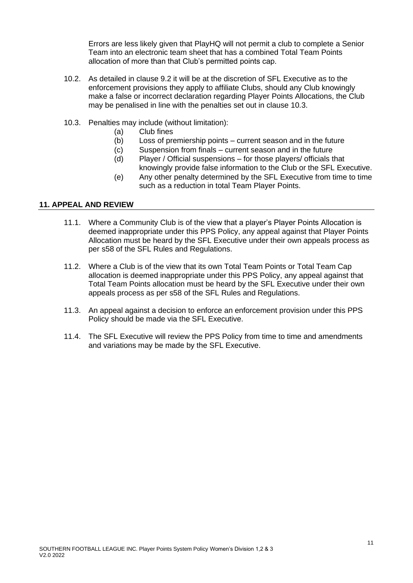Errors are less likely given that PlayHQ will not permit a club to complete a Senior Team into an electronic team sheet that has a combined Total Team Points allocation of more than that Club's permitted points cap.

- 10.2. As detailed in clause 9.2 it will be at the discretion of SFL Executive as to the enforcement provisions they apply to affiliate Clubs, should any Club knowingly make a false or incorrect declaration regarding Player Points Allocations, the Club may be penalised in line with the penalties set out in clause 10.3.
- 10.3. Penalties may include (without limitation):
	- (a) Club fines
	- (b) Loss of premiership points current season and in the future
	- (c) Suspension from finals current season and in the future
	- (d) Player / Official suspensions for those players/ officials that knowingly provide false information to the Club or the SFL Executive.
	- (e) Any other penalty determined by the SFL Executive from time to time such as a reduction in total Team Player Points.

### **11. APPEAL AND REVIEW**

- 11.1. Where a Community Club is of the view that a player's Player Points Allocation is deemed inappropriate under this PPS Policy, any appeal against that Player Points Allocation must be heard by the SFL Executive under their own appeals process as per s58 of the SFL Rules and Regulations.
- 11.2. Where a Club is of the view that its own Total Team Points or Total Team Cap allocation is deemed inappropriate under this PPS Policy, any appeal against that Total Team Points allocation must be heard by the SFL Executive under their own appeals process as per s58 of the SFL Rules and Regulations.
- 11.3. An appeal against a decision to enforce an enforcement provision under this PPS Policy should be made via the SFL Executive.
- 11.4. The SFL Executive will review the PPS Policy from time to time and amendments and variations may be made by the SFL Executive.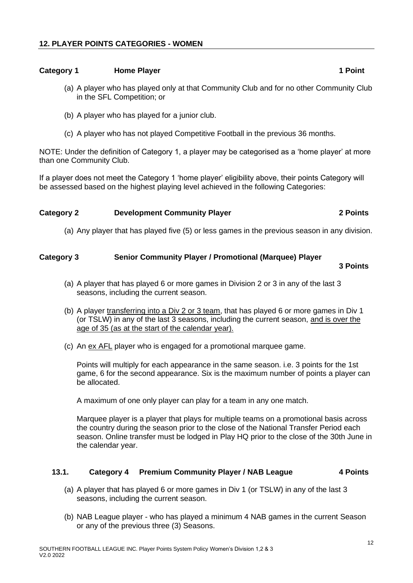#### **Category 1 Home Player 1 Point <b>1** Point

- (a) A player who has played only at that Community Club and for no other Community Club in the SFL Competition; or
- (b) A player who has played for a junior club.
- (c) A player who has not played Competitive Football in the previous 36 months.

NOTE: Under the definition of Category 1, a player may be categorised as a 'home player' at more than one Community Club.

If a player does not meet the Category 1 'home player' eligibility above, their points Category will be assessed based on the highest playing level achieved in the following Categories:

#### **Category 2 Development Community Player 2 Points**

(a) Any player that has played five (5) or less games in the previous season in any division.

#### **Category 3 Senior Community Player / Promotional (Marquee) Player**

#### **3 Points**

- (a) A player that has played 6 or more games in Division 2 or 3 in any of the last 3 seasons, including the current season.
- (b) A player transferring into a Div 2 or 3 team, that has played 6 or more games in Div 1 (or TSLW) in any of the last 3 seasons, including the current season, and is over the age of 35 (as at the start of the calendar year).
- (c) An ex AFL player who is engaged for a promotional marquee game.

Points will multiply for each appearance in the same season. i.e. 3 points for the 1st game, 6 for the second appearance. Six is the maximum number of points a player can be allocated.

A maximum of one only player can play for a team in any one match.

Marquee player is a player that plays for multiple teams on a promotional basis across the country during the season prior to the close of the National Transfer Period each season. Online transfer must be lodged in Play HQ prior to the close of the 30th June in the calendar year.

#### **13.1. Category 4 Premium Community Player / NAB League 4 Points**

- (a) A player that has played 6 or more games in Div 1 (or TSLW) in any of the last 3 seasons, including the current season.
- (b) NAB League player who has played a minimum 4 NAB games in the current Season or any of the previous three (3) Seasons.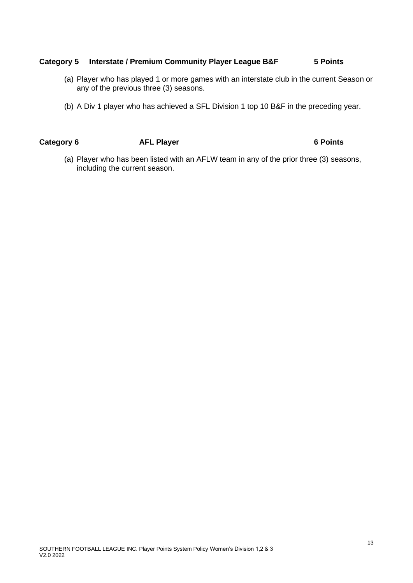#### **Category 5 Interstate / Premium Community Player League B&F 5 Points**

- (a) Player who has played 1 or more games with an interstate club in the current Season or any of the previous three (3) seasons.
- (b) A Div 1 player who has achieved a SFL Division 1 top 10 B&F in the preceding year.

Category 6 **AFL Player** 6 **Points** 6 Points

(a) Player who has been listed with an AFLW team in any of the prior three (3) seasons, including the current season.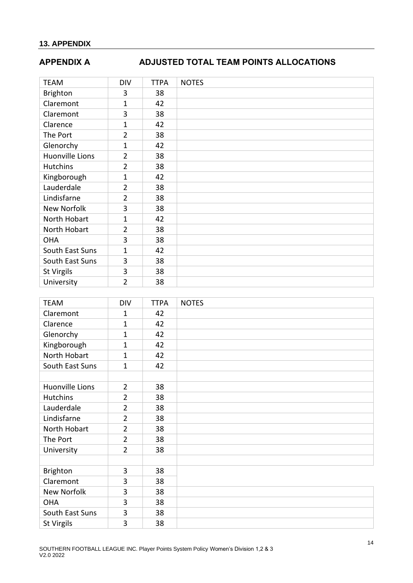# **APPENDIX A ADJUSTED TOTAL TEAM POINTS ALLOCATIONS**

| <b>TEAM</b>            | <b>DIV</b>     | <b>TTPA</b> | <b>NOTES</b> |
|------------------------|----------------|-------------|--------------|
| <b>Brighton</b>        | 3              | 38          |              |
| Claremont              | 1              | 42          |              |
| Claremont              | 3              | 38          |              |
| Clarence               | 1              | 42          |              |
| The Port               | $\overline{2}$ | 38          |              |
| Glenorchy              | 1              | 42          |              |
| <b>Huonville Lions</b> | $\overline{2}$ | 38          |              |
| <b>Hutchins</b>        | $\overline{2}$ | 38          |              |
| Kingborough            | 1              | 42          |              |
| Lauderdale             | $\overline{2}$ | 38          |              |
| Lindisfarne            | $\overline{2}$ | 38          |              |
| New Norfolk            | 3              | 38          |              |
| North Hobart           | 1              | 42          |              |
| North Hobart           | $\overline{2}$ | 38          |              |
| <b>OHA</b>             | 3              | 38          |              |
| South East Suns        | 1              | 42          |              |
| South East Suns        | 3              | 38          |              |
| St Virgils             | 3              | 38          |              |
| University             | $\overline{2}$ | 38          |              |

| <b>TEAM</b>            | <b>DIV</b>     | <b>TTPA</b> | <b>NOTES</b> |
|------------------------|----------------|-------------|--------------|
| Claremont              | $\mathbf{1}$   | 42          |              |
| Clarence               | $\mathbf{1}$   | 42          |              |
| Glenorchy              | $\mathbf{1}$   | 42          |              |
| Kingborough            | 1              | 42          |              |
| North Hobart           | 1              | 42          |              |
| South East Suns        | $\mathbf{1}$   | 42          |              |
|                        |                |             |              |
| <b>Huonville Lions</b> | $\overline{2}$ | 38          |              |
| <b>Hutchins</b>        | $\overline{2}$ | 38          |              |
| Lauderdale             | $\overline{2}$ | 38          |              |
| Lindisfarne            | $\overline{2}$ | 38          |              |
| North Hobart           | $\overline{2}$ | 38          |              |
| The Port               | $\overline{2}$ | 38          |              |
| University             | $\overline{2}$ | 38          |              |
|                        |                |             |              |
| Brighton               | 3              | 38          |              |
| Claremont              | 3              | 38          |              |
| New Norfolk            | 3              | 38          |              |
| <b>OHA</b>             | 3              | 38          |              |
| South East Suns        | 3              | 38          |              |
| St Virgils             | 3              | 38          |              |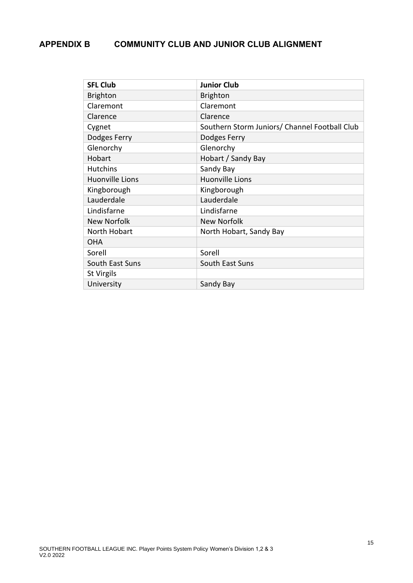# **APPENDIX B COMMUNITY CLUB AND JUNIOR CLUB ALIGNMENT**

| <b>SFL Club</b>        | <b>Junior Club</b>                            |  |  |
|------------------------|-----------------------------------------------|--|--|
| <b>Brighton</b>        | <b>Brighton</b>                               |  |  |
| Claremont              | Claremont                                     |  |  |
| Clarence               | Clarence                                      |  |  |
| Cygnet                 | Southern Storm Juniors/ Channel Football Club |  |  |
| Dodges Ferry           | Dodges Ferry                                  |  |  |
| Glenorchy              | Glenorchy                                     |  |  |
| Hobart                 | Hobart / Sandy Bay                            |  |  |
| <b>Hutchins</b>        | Sandy Bay                                     |  |  |
| <b>Huonville Lions</b> | <b>Huonville Lions</b>                        |  |  |
| Kingborough            | Kingborough                                   |  |  |
| Lauderdale             | Lauderdale                                    |  |  |
| Lindisfarne            | Lindisfarne                                   |  |  |
| <b>New Norfolk</b>     | <b>New Norfolk</b>                            |  |  |
| North Hobart           | North Hobart, Sandy Bay                       |  |  |
| <b>OHA</b>             |                                               |  |  |
| Sorell                 | Sorell                                        |  |  |
| South East Suns        | South East Suns                               |  |  |
| St Virgils             |                                               |  |  |
| University             | Sandy Bay                                     |  |  |